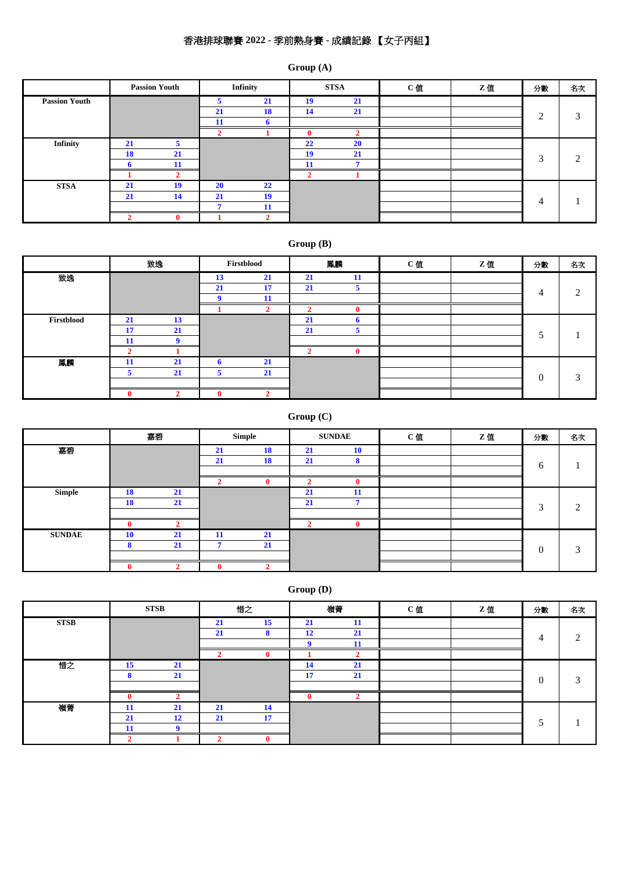# 香港排球聯賽 **2022 -** 季前熱身賽 **-** 成績記錄 【女子丙組】

### **Group (A)**

|                      |    | <b>Passion Youth</b> |           | Infinity |    | <b>STSA</b> | C值 | Z值 | 分數 | 名次 |
|----------------------|----|----------------------|-----------|----------|----|-------------|----|----|----|----|
| <b>Passion Youth</b> |    |                      | 5         | 21       | 19 | 21          |    |    |    |    |
|                      |    |                      | 21        | 18       | 14 | 21          |    |    | 2  | 3  |
|                      |    |                      | -11       | n.       |    |             |    |    |    |    |
|                      |    |                      |           |          |    |             |    |    |    |    |
| <b>Infinity</b>      | 21 | 5                    |           |          | 22 | <b>20</b>   |    |    |    |    |
|                      | 18 | 21                   |           |          | 19 | 21          |    |    | 3  | ∍  |
|                      |    | 11                   |           |          | 11 |             |    |    |    |    |
|                      |    |                      |           |          |    |             |    |    |    |    |
| <b>STSA</b>          | 21 | 19                   | <b>20</b> | 22       |    |             |    |    |    |    |
|                      | 21 | 14                   | 21        | 19       |    |             |    |    | 4  |    |
|                      |    |                      |           | 11       |    |             |    |    |    |    |
|                      |    |                      |           |          |    |             |    |    |    |    |

### **Group (B)**

|            |    | 致逸 |    | Firstblood |    | 鳳麟 | C值 | Z值 | 分數       | 名次 |
|------------|----|----|----|------------|----|----|----|----|----------|----|
| 致逸         |    |    | 13 | 21         | 21 | 11 |    |    |          |    |
|            |    |    | 21 | 17         | 21 | э  |    |    | 4        | ◠  |
|            |    |    |    | 11         |    |    |    |    |          |    |
|            |    |    |    |            |    |    |    |    |          |    |
| Firstblood | 21 | 13 |    |            | 21 |    |    |    |          |    |
|            | 17 | 21 |    |            | 21 |    |    |    |          |    |
|            |    |    |    |            |    |    |    |    |          |    |
|            |    |    |    |            |    |    |    |    |          |    |
| 鳳麟         | 11 | 21 | n  | 21         |    |    |    |    |          |    |
|            |    | 21 | э  | 21         |    |    |    |    | $\Omega$ | 3  |
|            |    |    |    |            |    |    |    |    |          |    |
|            |    |    |    |            |    |    |    |    |          |    |

### **Group (C)**

|               |    | 嘉碧 |    | Simple    |    | <b>SUNDAE</b> | C值 | Z值 | 分數                      | 名次 |
|---------------|----|----|----|-----------|----|---------------|----|----|-------------------------|----|
| 嘉碧            |    |    | 21 | 18        | 21 | 10            |    |    |                         |    |
|               |    |    | 21 | <b>18</b> | 21 | 8             |    |    | 6                       |    |
|               |    |    |    |           |    |               |    |    |                         |    |
|               |    |    |    | 0         |    | 0             |    |    |                         |    |
| Simple        | 18 | 21 |    |           | 21 | 11            |    |    |                         |    |
|               | 18 | 21 |    |           | 21 | ×             |    |    | $\mathbf{\overline{3}}$ | ◠  |
|               |    |    |    |           |    |               |    |    |                         |    |
|               |    |    |    |           |    | $\mathbf{0}$  |    |    |                         |    |
| <b>SUNDAE</b> | 10 | 21 | 11 | 21        |    |               |    |    |                         |    |
|               | ິ  | 21 |    | 21        |    |               |    |    | $\Omega$                | ◠  |
|               |    |    |    |           |    |               |    |    |                         |    |
|               |    |    |    |           |    |               |    |    |                         |    |

## **Group (D)**

|             |                       | <b>STSB</b> |    | 惜之                     |           | 嶺菁 | C值 | Z值 | 分數       | 名次     |
|-------------|-----------------------|-------------|----|------------------------|-----------|----|----|----|----------|--------|
| <b>STSB</b> |                       |             | 21 | 15                     | <b>21</b> | 11 |    |    |          |        |
|             |                       |             | 21 | $\bullet$<br>$\bullet$ | 12        | 21 |    |    | 4        | $\sim$ |
|             |                       |             |    |                        |           |    |    |    |          |        |
|             |                       |             |    |                        |           |    |    |    |          |        |
| 惜之          | 15                    | 21          |    |                        | 14        | 21 |    |    |          |        |
|             | $\Omega$<br>$\bullet$ | 21          |    |                        | 17        | 21 |    |    | $\theta$ | $\sim$ |
|             |                       |             |    |                        |           |    |    |    |          |        |
|             |                       |             |    |                        |           |    |    |    |          |        |
| 嶺菁          | 11                    | 21          | 21 | 14                     |           |    |    |    |          |        |
|             | 21                    | 12          | 21 | 17                     |           |    |    |    |          |        |
|             | 11                    |             |    |                        |           |    |    |    |          |        |
|             |                       |             |    |                        |           |    |    |    |          |        |